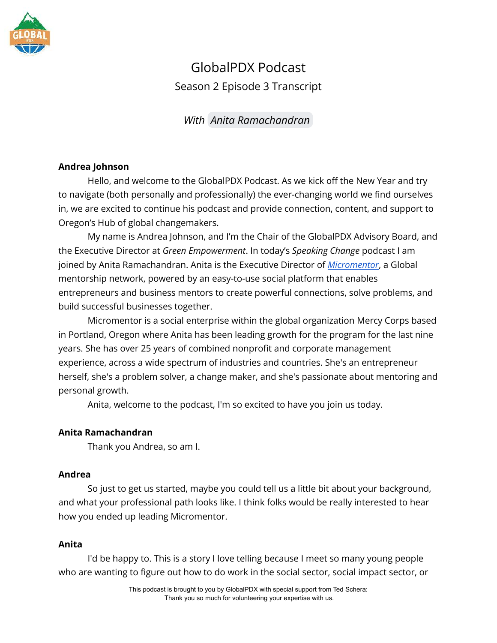

# GlobalPDX Podcast Season 2 Episode 3 Transcript

## *With [Anita Ramachandran](mailto:anita@micromentor.org)*

## **Andrea Johnson**

Hello, and welcome to the GlobalPDX Podcast. As we kick off the New Year and try to navigate (both personally and professionally) the ever-changing world we find ourselves in, we are excited to continue his podcast and provide connection, content, and support to Oregon's Hub of global changemakers.

My name is Andrea Johnson, and I'm the Chair of the GlobalPDX Advisory Board, and the Executive Director at *Green Empowerment*. In today's *Speaking Change* podcast I am joined by Anita Ramachandran. Anita is the Executive Director of *[Micromentor](https://www.micromentor.org/?gclid=CjwKCAiA24SPBhB0EiwAjBgkhnNG6pxLyAGTd-8GQS6-Rw4xpggJ_h8-waeHCQxxD_2s9ZpxbOuYGxoCPNsQAvD_BwE)*, a Global mentorship network, powered by an easy-to-use social platform that enables entrepreneurs and business mentors to create powerful connections, solve problems, and build successful businesses together.

Micromentor is a social enterprise within the global organization Mercy Corps based in Portland, Oregon where Anita has been leading growth for the program for the last nine years. She has over 25 years of combined nonprofit and corporate management experience, across a wide spectrum of industries and countries. She's an entrepreneur herself, she's a problem solver, a change maker, and she's passionate about mentoring and personal growth.

Anita, welcome to the podcast, I'm so excited to have you join us today.

## **Anita Ramachandran**

Thank you Andrea, so am I.

## **Andrea**

So just to get us started, maybe you could tell us a little bit about your background, and what your professional path looks like. I think folks would be really interested to hear how you ended up leading Micromentor.

## **Anita**

I'd be happy to. This is a story I love telling because I meet so many young people who are wanting to figure out how to do work in the social sector, social impact sector, or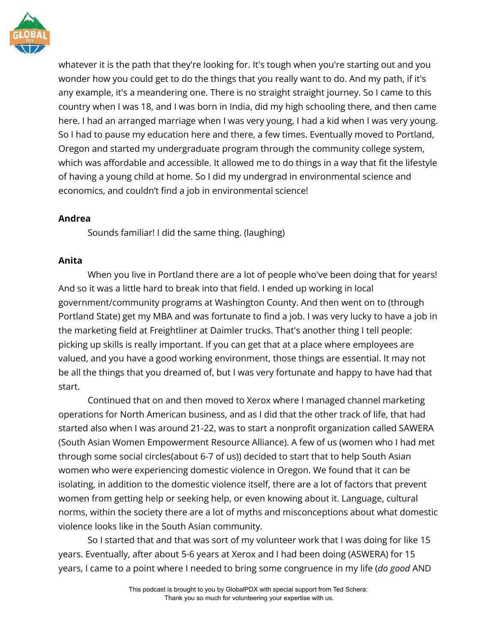

whatever it is the path that they're looking for. It's tough when you're starting out and you wonder how you could get to do the things that you really want to do. And my path, if it's any example, it's a meandering one. There is no straight straight journey. So I came to this country when I was 18, and I was born in India, did my high schooling there, and then came here. I had an arranged marriage when I was very young, I had a kid when I was very young. So I had to pause my education here and there, a few times. Eventually moved to Portland, Oregon and started my undergraduate program through the community college system, which was affordable and accessible. It allowed me to do things in a way that fit the lifestyle of having a young child at home. So I did my undergrad in environmental science and economics, and couldn't find a job in environmental science!

## **Andrea**

Sounds familiar! I did the same thing. (laughing)

## **Anita**

When you live in Portland there are a lot of people who've been doing that for years! And so it was a little hard to break into that field. I ended up working in local government/community programs at Washington County. And then went on to (through Portland State) get my MBA and was fortunate to find a job. I was very lucky to have a job in the marketing field at Freightliner at Daimler trucks. That's another thing I tell people: picking up skills is really important. If you can get that at a place where employees are valued, and you have a good working environment, those things are essential. It may not be all the things that you dreamed of, but I was very fortunate and happy to have had that start.

Continued that on and then moved to Xerox where I managed channel marketing operations for North American business, and as I did that the other track of life, that had started also when I was around 21-22, was to start a nonprofit organization called SAWERA (South Asian Women Empowerment Resource Alliance). A few of us (women who I had met through some social circles(about 6-7 of us)) decided to start that to help South Asian women who were experiencing domestic violence in Oregon. We found that it can be isolating, in addition to the domestic violence itself, there are a lot of factors that prevent women from getting help or seeking help, or even knowing about it. Language, cultural norms, within the society there are a lot of myths and misconceptions about what domestic violence looks like in the South Asian community.

So I started that and that was sort of my volunteer work that I was doing for like 15 years. Eventually, after about 5-6 years at Xerox and I had been doing (ASWERA) for 15 years, I came to a point where I needed to bring some congruence in my life (*do good* AND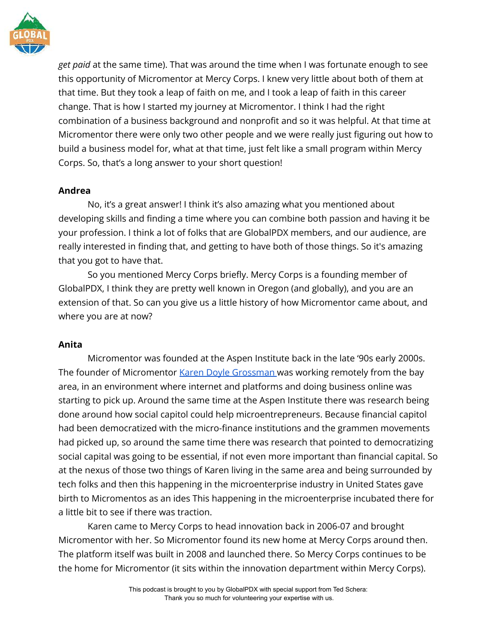

*get paid* at the same time). That was around the time when I was fortunate enough to see this opportunity of Micromentor at Mercy Corps. I knew very little about both of them at that time. But they took a leap of faith on me, and I took a leap of faith in this career change. That is how I started my journey at Micromentor. I think I had the right combination of a business background and nonprofit and so it was helpful. At that time at Micromentor there were only two other people and we were really just figuring out how to build a business model for, what at that time, just felt like a small program within Mercy Corps. So, that's a long answer to your short question!

#### **Andrea**

No, it's a great answer! I think it's also amazing what you mentioned about developing skills and finding a time where you can combine both passion and having it be your profession. I think a lot of folks that are GlobalPDX members, and our audience, are really interested in finding that, and getting to have both of those things. So it's amazing that you got to have that.

So you mentioned Mercy Corps briefly. Mercy Corps is a founding member of GlobalPDX, I think they are pretty well known in Oregon (and globally), and you are an extension of that. So can you give us a little history of how Micromentor came about, and where you are at now?

## **Anita**

Micromentor was founded at the Aspen Institute back in the late '90s early 2000s. The founder of Micromentor [Karen Doyle Grossman](https://www.linkedin.com/in/karendoylegrossman/) was working remotely from the bay area, in an environment where internet and platforms and doing business online was starting to pick up. Around the same time at the Aspen Institute there was research being done around how social capitol could help microentrepreneurs. Because financial capitol had been democratized with the micro-finance institutions and the grammen movements had picked up, so around the same time there was research that pointed to democratizing social capital was going to be essential, if not even more important than financial capital. So at the nexus of those two things of Karen living in the same area and being surrounded by tech folks and then this happening in the microenterprise industry in United States gave birth to Micromentos as an ides This happening in the microenterprise incubated there for a little bit to see if there was traction.

Karen came to Mercy Corps to head innovation back in 2006-07 and brought Micromentor with her. So Micromentor found its new home at Mercy Corps around then. The platform itself was built in 2008 and launched there. So Mercy Corps continues to be the home for Micromentor (it sits within the innovation department within Mercy Corps).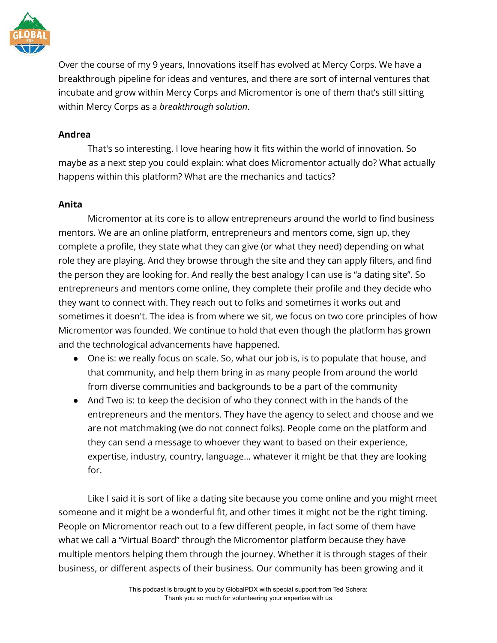

Over the course of my 9 years, Innovations itself has evolved at Mercy Corps. We have a breakthrough pipeline for ideas and ventures, and there are sort of internal ventures that incubate and grow within Mercy Corps and Micromentor is one of them that's still sitting within Mercy Corps as a *breakthrough solution*.

#### **Andrea**

That's so interesting. I love hearing how it fits within the world of innovation. So maybe as a next step you could explain: what does Micromentor actually do? What actually happens within this platform? What are the mechanics and tactics?

#### **Anita**

Micromentor at its core is to allow entrepreneurs around the world to find business mentors. We are an online platform, entrepreneurs and mentors come, sign up, they complete a profile, they state what they can give (or what they need) depending on what role they are playing. And they browse through the site and they can apply filters, and find the person they are looking for. And really the best analogy I can use is "a dating site". So entrepreneurs and mentors come online, they complete their profile and they decide who they want to connect with. They reach out to folks and sometimes it works out and sometimes it doesn't. The idea is from where we sit, we focus on two core principles of how Micromentor was founded. We continue to hold that even though the platform has grown and the technological advancements have happened.

- One is: we really focus on scale. So, what our job is, is to populate that house, and that community, and help them bring in as many people from around the world from diverse communities and backgrounds to be a part of the community
- And Two is: to keep the decision of who they connect with in the hands of the entrepreneurs and the mentors. They have the agency to select and choose and we are not matchmaking (we do not connect folks). People come on the platform and they can send a message to whoever they want to based on their experience, expertise, industry, country, language… whatever it might be that they are looking for.

Like I said it is sort of like a dating site because you come online and you might meet someone and it might be a wonderful fit, and other times it might not be the right timing. People on Micromentor reach out to a few different people, in fact some of them have what we call a "Virtual Board" through the Micromentor platform because they have multiple mentors helping them through the journey. Whether it is through stages of their business, or different aspects of their business. Our community has been growing and it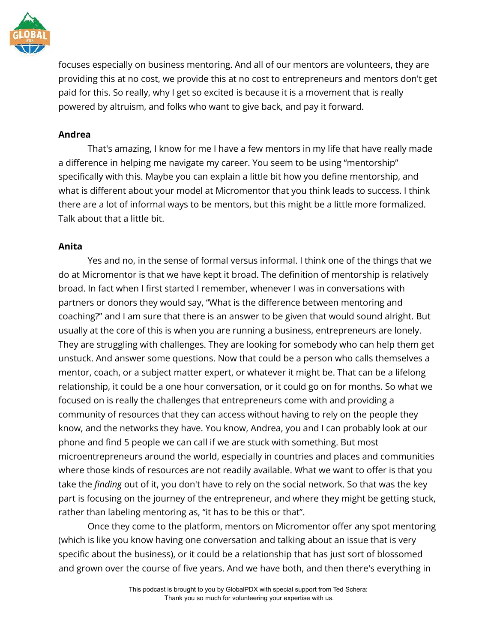

focuses especially on business mentoring. And all of our mentors are volunteers, they are providing this at no cost, we provide this at no cost to entrepreneurs and mentors don't get paid for this. So really, why I get so excited is because it is a movement that is really powered by altruism, and folks who want to give back, and pay it forward.

#### **Andrea**

That's amazing, I know for me I have a few mentors in my life that have really made a difference in helping me navigate my career. You seem to be using "mentorship" specifically with this. Maybe you can explain a little bit how you define mentorship, and what is different about your model at Micromentor that you think leads to success. I think there are a lot of informal ways to be mentors, but this might be a little more formalized. Talk about that a little bit.

#### **Anita**

Yes and no, in the sense of formal versus informal. I think one of the things that we do at Micromentor is that we have kept it broad. The definition of mentorship is relatively broad. In fact when I first started I remember, whenever I was in conversations with partners or donors they would say, "What is the difference between mentoring and coaching?" and I am sure that there is an answer to be given that would sound alright. But usually at the core of this is when you are running a business, entrepreneurs are lonely. They are struggling with challenges. They are looking for somebody who can help them get unstuck. And answer some questions. Now that could be a person who calls themselves a mentor, coach, or a subject matter expert, or whatever it might be. That can be a lifelong relationship, it could be a one hour conversation, or it could go on for months. So what we focused on is really the challenges that entrepreneurs come with and providing a community of resources that they can access without having to rely on the people they know, and the networks they have. You know, Andrea, you and I can probably look at our phone and find 5 people we can call if we are stuck with something. But most microentrepreneurs around the world, especially in countries and places and communities where those kinds of resources are not readily available. What we want to offer is that you take the *finding* out of it, you don't have to rely on the social network. So that was the key part is focusing on the journey of the entrepreneur, and where they might be getting stuck, rather than labeling mentoring as, "it has to be this or that".

Once they come to the platform, mentors on Micromentor offer any spot mentoring (which is like you know having one conversation and talking about an issue that is very specific about the business), or it could be a relationship that has just sort of blossomed and grown over the course of five years. And we have both, and then there's everything in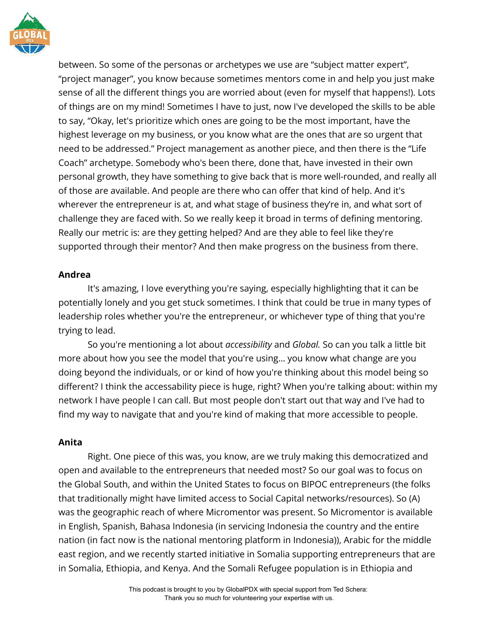

between. So some of the personas or archetypes we use are "subject matter expert", "project manager", you know because sometimes mentors come in and help you just make sense of all the different things you are worried about (even for myself that happens!). Lots of things are on my mind! Sometimes I have to just, now I've developed the skills to be able to say, "Okay, let's prioritize which ones are going to be the most important, have the highest leverage on my business, or you know what are the ones that are so urgent that need to be addressed." Project management as another piece, and then there is the "Life Coach" archetype. Somebody who's been there, done that, have invested in their own personal growth, they have something to give back that is more well-rounded, and really all of those are available. And people are there who can offer that kind of help. And it's wherever the entrepreneur is at, and what stage of business they're in, and what sort of challenge they are faced with. So we really keep it broad in terms of defining mentoring. Really our metric is: are they getting helped? And are they able to feel like they're supported through their mentor? And then make progress on the business from there.

#### **Andrea**

It's amazing, I love everything you're saying, especially highlighting that it can be potentially lonely and you get stuck sometimes. I think that could be true in many types of leadership roles whether you're the entrepreneur, or whichever type of thing that you're trying to lead.

So you're mentioning a lot about *accessibility* and *Global.* So can you talk a little bit more about how you see the model that you're using… you know what change are you doing beyond the individuals, or or kind of how you're thinking about this model being so different? I think the accessability piece is huge, right? When you're talking about: within my network I have people I can call. But most people don't start out that way and I've had to find my way to navigate that and you're kind of making that more accessible to people.

#### **Anita**

Right. One piece of this was, you know, are we truly making this democratized and open and available to the entrepreneurs that needed most? So our goal was to focus on the Global South, and within the United States to focus on BIPOC entrepreneurs (the folks that traditionally might have limited access to Social Capital networks/resources). So (A) was the geographic reach of where Micromentor was present. So Micromentor is available in English, Spanish, Bahasa Indonesia (in servicing Indonesia the country and the entire nation (in fact now is the national mentoring platform in Indonesia)), Arabic for the middle east region, and we recently started initiative in Somalia supporting entrepreneurs that are in Somalia, Ethiopia, and Kenya. And the Somali Refugee population is in Ethiopia and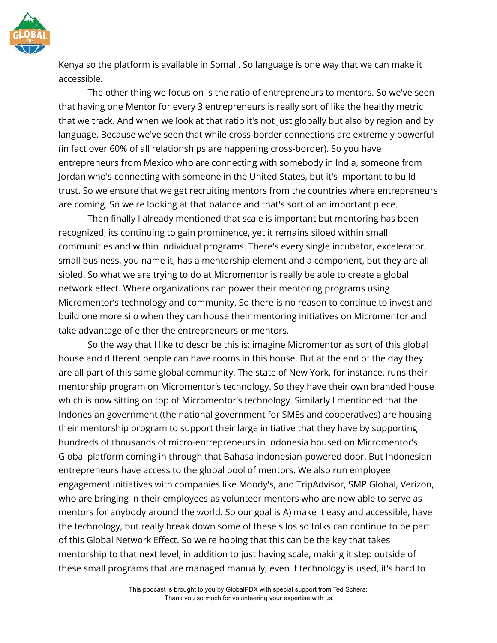

Kenya so the platform is available in Somali. So language is one way that we can make it accessible.

The other thing we focus on is the ratio of entrepreneurs to mentors. So we've seen that having one Mentor for every 3 entrepreneurs is really sort of like the healthy metric that we track. And when we look at that ratio it's not just globally but also by region and by language. Because we've seen that while cross-border connections are extremely powerful (in fact over 60% of all relationships are happening cross-border). So you have entrepreneurs from Mexico who are connecting with somebody in India, someone from Jordan who's connecting with someone in the United States, but it's important to build trust. So we ensure that we get recruiting mentors from the countries where entrepreneurs are coming. So we're looking at that balance and that's sort of an important piece.

Then finally I already mentioned that scale is important but mentoring has been recognized, its continuing to gain prominence, yet it remains siloed within small communities and within individual programs. There's every single incubator, excelerator, small business, you name it, has a mentorship element and a component, but they are all sioled. So what we are trying to do at Micromentor is really be able to create a global network effect. Where organizations can power their mentoring programs using Micromentor's technology and community. So there is no reason to continue to invest and build one more silo when they can house their mentoring initiatives on Micromentor and take advantage of either the entrepreneurs or mentors.

So the way that I like to describe this is: imagine Micromentor as sort of this global house and different people can have rooms in this house. But at the end of the day they are all part of this same global community. The state of New York, for instance, runs their mentorship program on Micromentor's technology. So they have their own branded house which is now sitting on top of Micromentor's technology. Similarly I mentioned that the Indonesian government (the national government for SMEs and cooperatives) are housing their mentorship program to support their large initiative that they have by supporting hundreds of thousands of micro-entrepreneurs in Indonesia housed on Micromentor's Global platform coming in through that Bahasa indonesian-powered door. But Indonesian entrepreneurs have access to the global pool of mentors. We also run employee engagement initiatives with companies like Moody's, and TripAdvisor, SMP Global, Verizon, who are bringing in their employees as volunteer mentors who are now able to serve as mentors for anybody around the world. So our goal is A) make it easy and accessible, have the technology, but really break down some of these silos so folks can continue to be part of this Global Network Effect. So we're hoping that this can be the key that takes mentorship to that next level, in addition to just having scale, making it step outside of these small programs that are managed manually, even if technology is used, it's hard to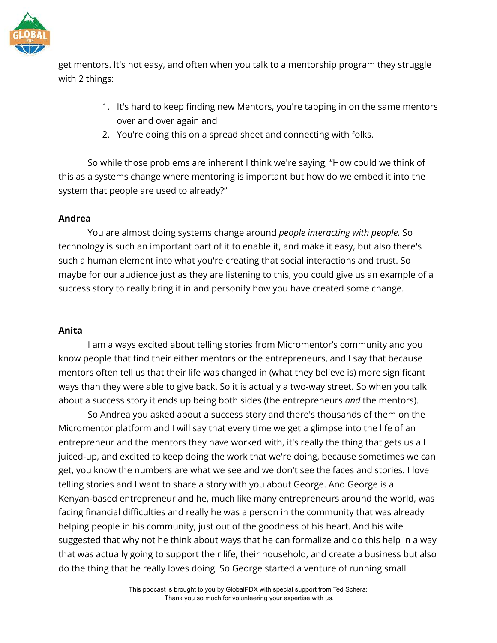

get mentors. It's not easy, and often when you talk to a mentorship program they struggle with 2 things:

- 1. It's hard to keep finding new Mentors, you're tapping in on the same mentors over and over again and
- 2. You're doing this on a spread sheet and connecting with folks.

So while those problems are inherent I think we're saying, "How could we think of this as a systems change where mentoring is important but how do we embed it into the system that people are used to already?"

## **Andrea**

You are almost doing systems change around *people interacting with people.* So technology is such an important part of it to enable it, and make it easy, but also there's such a human element into what you're creating that social interactions and trust. So maybe for our audience just as they are listening to this, you could give us an example of a success story to really bring it in and personify how you have created some change.

#### **Anita**

I am always excited about telling stories from Micromentor's community and you know people that find their either mentors or the entrepreneurs, and I say that because mentors often tell us that their life was changed in (what they believe is) more significant ways than they were able to give back. So it is actually a two-way street. So when you talk about a success story it ends up being both sides (the entrepreneurs *and* the mentors).

So Andrea you asked about a success story and there's thousands of them on the Micromentor platform and I will say that every time we get a glimpse into the life of an entrepreneur and the mentors they have worked with, it's really the thing that gets us all juiced-up, and excited to keep doing the work that we're doing, because sometimes we can get, you know the numbers are what we see and we don't see the faces and stories. I love telling stories and I want to share a story with you about George. And George is a Kenyan-based entrepreneur and he, much like many entrepreneurs around the world, was facing financial difficulties and really he was a person in the community that was already helping people in his community, just out of the goodness of his heart. And his wife suggested that why not he think about ways that he can formalize and do this help in a way that was actually going to support their life, their household, and create a business but also do the thing that he really loves doing. So George started a venture of running small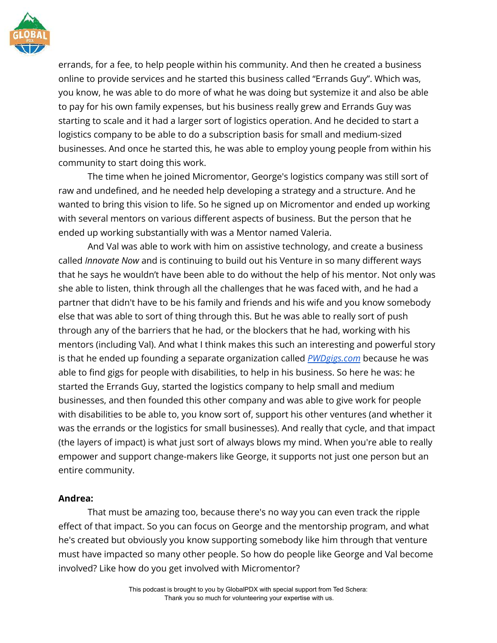

errands, for a fee, to help people within his community. And then he created a business online to provide services and he started this business called "Errands Guy". Which was, you know, he was able to do more of what he was doing but systemize it and also be able to pay for his own family expenses, but his business really grew and Errands Guy was starting to scale and it had a larger sort of logistics operation. And he decided to start a logistics company to be able to do a subscription basis for small and medium-sized businesses. And once he started this, he was able to employ young people from within his community to start doing this work.

The time when he joined Micromentor, George's logistics company was still sort of raw and undefined, and he needed help developing a strategy and a structure. And he wanted to bring this vision to life. So he signed up on Micromentor and ended up working with several mentors on various different aspects of business. But the person that he ended up working substantially with was a Mentor named Valeria.

And Val was able to work with him on assistive technology, and create a business called *Innovate Now* and is continuing to build out his Venture in so many different ways that he says he wouldn't have been able to do without the help of his mentor. Not only was she able to listen, think through all the challenges that he was faced with, and he had a partner that didn't have to be his family and friends and his wife and you know somebody else that was able to sort of thing through this. But he was able to really sort of push through any of the barriers that he had, or the blockers that he had, working with his mentors (including Val). And what I think makes this such an interesting and powerful story is that he ended up founding a separate organization called *[PWDgigs.com](https://pwdgigs.com/)* because he was able to find gigs for people with disabilities, to help in his business. So here he was: he started the Errands Guy, started the logistics company to help small and medium businesses, and then founded this other company and was able to give work for people with disabilities to be able to, you know sort of, support his other ventures (and whether it was the errands or the logistics for small businesses). And really that cycle, and that impact (the layers of impact) is what just sort of always blows my mind. When you're able to really empower and support change-makers like George, it supports not just one person but an entire community.

#### **Andrea:**

That must be amazing too, because there's no way you can even track the ripple effect of that impact. So you can focus on George and the mentorship program, and what he's created but obviously you know supporting somebody like him through that venture must have impacted so many other people. So how do people like George and Val become involved? Like how do you get involved with Micromentor?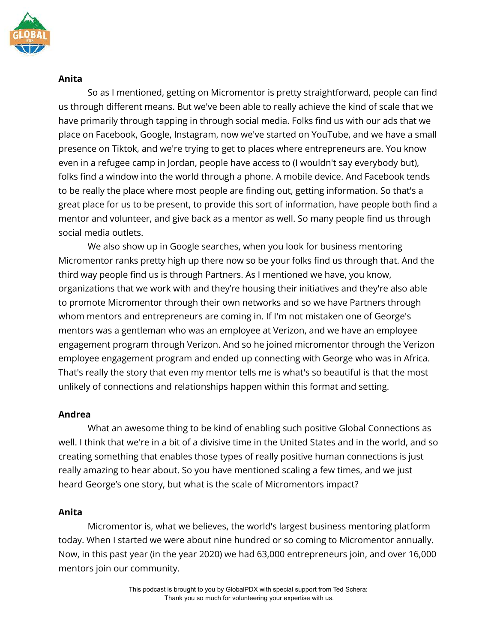

#### **Anita**

So as I mentioned, getting on Micromentor is pretty straightforward, people can find us through different means. But we've been able to really achieve the kind of scale that we have primarily through tapping in through social media. Folks find us with our ads that we place on Facebook, Google, Instagram, now we've started on YouTube, and we have a small presence on Tiktok, and we're trying to get to places where entrepreneurs are. You know even in a refugee camp in Jordan, people have access to (I wouldn't say everybody but), folks find a window into the world through a phone. A mobile device. And Facebook tends to be really the place where most people are finding out, getting information. So that's a great place for us to be present, to provide this sort of information, have people both find a mentor and volunteer, and give back as a mentor as well. So many people find us through social media outlets.

We also show up in Google searches, when you look for business mentoring Micromentor ranks pretty high up there now so be your folks find us through that. And the third way people find us is through Partners. As I mentioned we have, you know, organizations that we work with and they're housing their initiatives and they're also able to promote Micromentor through their own networks and so we have Partners through whom mentors and entrepreneurs are coming in. If I'm not mistaken one of George's mentors was a gentleman who was an employee at Verizon, and we have an employee engagement program through Verizon. And so he joined micromentor through the Verizon employee engagement program and ended up connecting with George who was in Africa. That's really the story that even my mentor tells me is what's so beautiful is that the most unlikely of connections and relationships happen within this format and setting.

## **Andrea**

What an awesome thing to be kind of enabling such positive Global Connections as well. I think that we're in a bit of a divisive time in the United States and in the world, and so creating something that enables those types of really positive human connections is just really amazing to hear about. So you have mentioned scaling a few times, and we just heard George's one story, but what is the scale of Micromentors impact?

#### **Anita**

Micromentor is, what we believes, the world's largest business mentoring platform today. When I started we were about nine hundred or so coming to Micromentor annually. Now, in this past year (in the year 2020) we had 63,000 entrepreneurs join, and over 16,000 mentors join our community.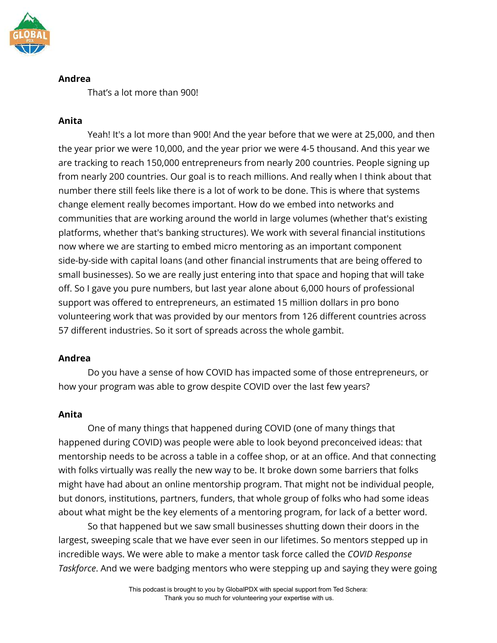

#### **Andrea**

That's a lot more than 900!

## **Anita**

Yeah! It's a lot more than 900! And the year before that we were at 25,000, and then the year prior we were 10,000, and the year prior we were 4-5 thousand. And this year we are tracking to reach 150,000 entrepreneurs from nearly 200 countries. People signing up from nearly 200 countries. Our goal is to reach millions. And really when I think about that number there still feels like there is a lot of work to be done. This is where that systems change element really becomes important. How do we embed into networks and communities that are working around the world in large volumes (whether that's existing platforms, whether that's banking structures). We work with several financial institutions now where we are starting to embed micro mentoring as an important component side-by-side with capital loans (and other financial instruments that are being offered to small businesses). So we are really just entering into that space and hoping that will take off. So I gave you pure numbers, but last year alone about 6,000 hours of professional support was offered to entrepreneurs, an estimated 15 million dollars in pro bono volunteering work that was provided by our mentors from 126 different countries across 57 different industries. So it sort of spreads across the whole gambit.

## **Andrea**

Do you have a sense of how COVID has impacted some of those entrepreneurs, or how your program was able to grow despite COVID over the last few years?

## **Anita**

One of many things that happened during COVID (one of many things that happened during COVID) was people were able to look beyond preconceived ideas: that mentorship needs to be across a table in a coffee shop, or at an office. And that connecting with folks virtually was really the new way to be. It broke down some barriers that folks might have had about an online mentorship program. That might not be individual people, but donors, institutions, partners, funders, that whole group of folks who had some ideas about what might be the key elements of a mentoring program, for lack of a better word.

So that happened but we saw small businesses shutting down their doors in the largest, sweeping scale that we have ever seen in our lifetimes. So mentors stepped up in incredible ways. We were able to make a mentor task force called the *COVID Response Taskforce*. And we were badging mentors who were stepping up and saying they were going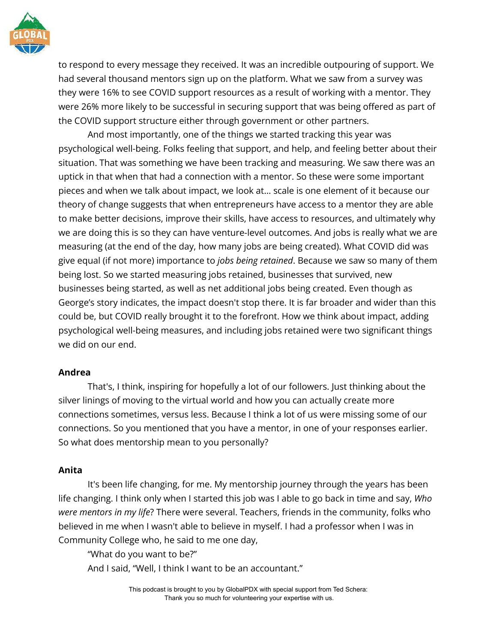

to respond to every message they received. It was an incredible outpouring of support. We had several thousand mentors sign up on the platform. What we saw from a survey was they were 16% to see COVID support resources as a result of working with a mentor. They were 26% more likely to be successful in securing support that was being offered as part of the COVID support structure either through government or other partners.

And most importantly, one of the things we started tracking this year was psychological well-being. Folks feeling that support, and help, and feeling better about their situation. That was something we have been tracking and measuring. We saw there was an uptick in that when that had a connection with a mentor. So these were some important pieces and when we talk about impact, we look at… scale is one element of it because our theory of change suggests that when entrepreneurs have access to a mentor they are able to make better decisions, improve their skills, have access to resources, and ultimately why we are doing this is so they can have venture-level outcomes. And jobs is really what we are measuring (at the end of the day, how many jobs are being created). What COVID did was give equal (if not more) importance to *jobs being retained*. Because we saw so many of them being lost. So we started measuring jobs retained, businesses that survived, new businesses being started, as well as net additional jobs being created. Even though as George's story indicates, the impact doesn't stop there. It is far broader and wider than this could be, but COVID really brought it to the forefront. How we think about impact, adding psychological well-being measures, and including jobs retained were two significant things we did on our end.

#### **Andrea**

That's, I think, inspiring for hopefully a lot of our followers. Just thinking about the silver linings of moving to the virtual world and how you can actually create more connections sometimes, versus less. Because I think a lot of us were missing some of our connections. So you mentioned that you have a mentor, in one of your responses earlier. So what does mentorship mean to you personally?

## **Anita**

It's been life changing, for me. My mentorship journey through the years has been life changing. I think only when I started this job was I able to go back in time and say, *Who were mentors in my life*? There were several. Teachers, friends in the community, folks who believed in me when I wasn't able to believe in myself. I had a professor when I was in Community College who, he said to me one day,

"What do you want to be?"

And I said, "Well, I think I want to be an accountant."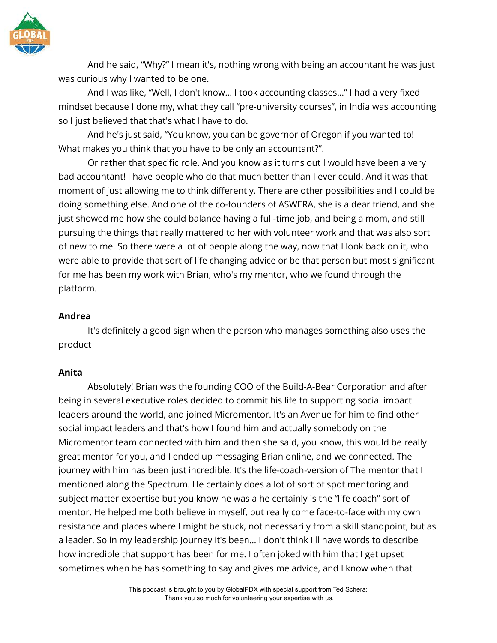

And he said, "Why?" I mean it's, nothing wrong with being an accountant he was just was curious why I wanted to be one.

And I was like, "Well, I don't know… I took accounting classes…" I had a very fixed mindset because I done my, what they call "pre-university courses", in India was accounting so I just believed that that's what I have to do.

And he's just said, "You know, you can be governor of Oregon if you wanted to! What makes you think that you have to be only an accountant?".

Or rather that specific role. And you know as it turns out I would have been a very bad accountant! I have people who do that much better than I ever could. And it was that moment of just allowing me to think differently. There are other possibilities and I could be doing something else. And one of the co-founders of ASWERA, she is a dear friend, and she just showed me how she could balance having a full-time job, and being a mom, and still pursuing the things that really mattered to her with volunteer work and that was also sort of new to me. So there were a lot of people along the way, now that I look back on it, who were able to provide that sort of life changing advice or be that person but most significant for me has been my work with Brian, who's my mentor, who we found through the platform.

#### **Andrea**

It's definitely a good sign when the person who manages something also uses the product

#### **Anita**

Absolutely! Brian was the founding COO of the Build-A-Bear Corporation and after being in several executive roles decided to commit his life to supporting social impact leaders around the world, and joined Micromentor. It's an Avenue for him to find other social impact leaders and that's how I found him and actually somebody on the Micromentor team connected with him and then she said, you know, this would be really great mentor for you, and I ended up messaging Brian online, and we connected. The journey with him has been just incredible. It's the life-coach-version of The mentor that I mentioned along the Spectrum. He certainly does a lot of sort of spot mentoring and subject matter expertise but you know he was a he certainly is the "life coach" sort of mentor. He helped me both believe in myself, but really come face-to-face with my own resistance and places where I might be stuck, not necessarily from a skill standpoint, but as a leader. So in my leadership Journey it's been… I don't think I'll have words to describe how incredible that support has been for me. I often joked with him that I get upset sometimes when he has something to say and gives me advice, and I know when that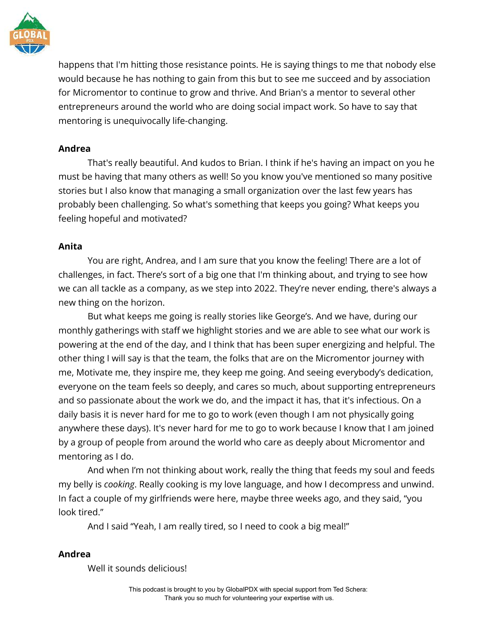

happens that I'm hitting those resistance points. He is saying things to me that nobody else would because he has nothing to gain from this but to see me succeed and by association for Micromentor to continue to grow and thrive. And Brian's a mentor to several other entrepreneurs around the world who are doing social impact work. So have to say that mentoring is unequivocally life-changing.

## **Andrea**

That's really beautiful. And kudos to Brian. I think if he's having an impact on you he must be having that many others as well! So you know you've mentioned so many positive stories but I also know that managing a small organization over the last few years has probably been challenging. So what's something that keeps you going? What keeps you feeling hopeful and motivated?

## **Anita**

You are right, Andrea, and I am sure that you know the feeling! There are a lot of challenges, in fact. There's sort of a big one that I'm thinking about, and trying to see how we can all tackle as a company, as we step into 2022. They're never ending, there's always a new thing on the horizon.

But what keeps me going is really stories like George's. And we have, during our monthly gatherings with staff we highlight stories and we are able to see what our work is powering at the end of the day, and I think that has been super energizing and helpful. The other thing I will say is that the team, the folks that are on the Micromentor journey with me, Motivate me, they inspire me, they keep me going. And seeing everybody's dedication, everyone on the team feels so deeply, and cares so much, about supporting entrepreneurs and so passionate about the work we do, and the impact it has, that it's infectious. On a daily basis it is never hard for me to go to work (even though I am not physically going anywhere these days). It's never hard for me to go to work because I know that I am joined by a group of people from around the world who care as deeply about Micromentor and mentoring as I do.

And when I'm not thinking about work, really the thing that feeds my soul and feeds my belly is *cooking*. Really cooking is my love language, and how I decompress and unwind. In fact a couple of my girlfriends were here, maybe three weeks ago, and they said, "you look tired."

And I said "Yeah, I am really tired, so I need to cook a big meal!"

## **Andrea**

Well it sounds delicious!